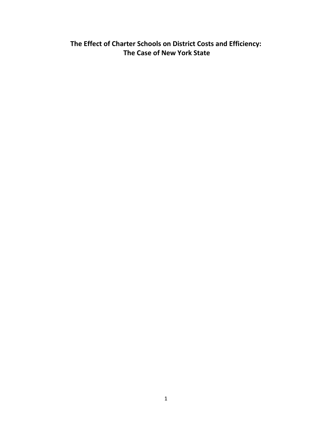**The Effect of Charter Schools on District Costs and Efficiency: The Case of New York State**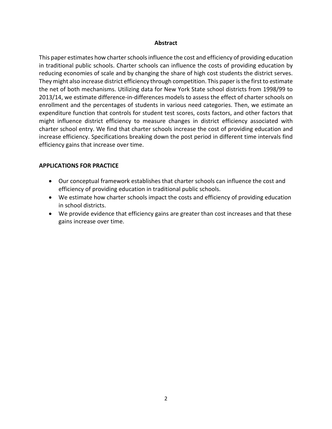## **Abstract**

This paper estimates how charter schools influence the cost and efficiency of providing education in traditional public schools. Charter schools can influence the costs of providing education by reducing economies of scale and by changing the share of high cost students the district serves. They might also increase district efficiency through competition. This paper is the first to estimate the net of both mechanisms. Utilizing data for New York State school districts from 1998/99 to 2013/14, we estimate difference-in-differences models to assess the effect of charter schools on enrollment and the percentages of students in various need categories. Then, we estimate an expenditure function that controls for student test scores, costs factors, and other factors that might influence district efficiency to measure changes in district efficiency associated with charter school entry. We find that charter schools increase the cost of providing education and increase efficiency. Specifications breaking down the post period in different time intervals find efficiency gains that increase over time.

# **APPLICATIONS FOR PRACTICE**

- Our conceptual framework establishes that charter schools can influence the cost and efficiency of providing education in traditional public schools.
- We estimate how charter schools impact the costs and efficiency of providing education in school districts.
- We provide evidence that efficiency gains are greater than cost increases and that these gains increase over time.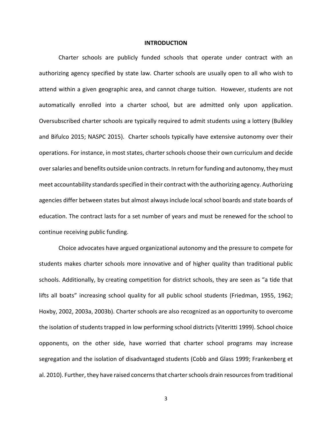## **INTRODUCTION**

Charter schools are publicly funded schools that operate under contract with an authorizing agency specified by state law. Charter schools are usually open to all who wish to attend within a given geographic area, and cannot charge tuition. However, students are not automatically enrolled into a charter school, but are admitted only upon application. Oversubscribed charter schools are typically required to admit students using a lottery (Bulkley and Bifulco 2015; NASPC 2015). Charter schools typically have extensive autonomy over their operations. For instance, in most states, charter schools choose their own curriculum and decide over salaries and benefits outside union contracts. In return for funding and autonomy, they must meet accountability standards specified in their contract with the authorizing agency. Authorizing agencies differ between states but almost always include local school boards and state boards of education. The contract lasts for a set number of years and must be renewed for the school to continue receiving public funding.

Choice advocates have argued organizational autonomy and the pressure to compete for students makes charter schools more innovative and of higher quality than traditional public schools. Additionally, by creating competition for district schools, they are seen as "a tide that lifts all boats" increasing school quality for all public school students (Friedman, 1955, 1962; Hoxby, 2002, 2003a, 2003b). Charter schools are also recognized as an opportunity to overcome the isolation of students trapped in low performing school districts (Viteritti 1999). School choice opponents, on the other side, have worried that charter school programs may increase segregation and the isolation of disadvantaged students (Cobb and Glass 1999; Frankenberg et al. 2010). Further, they have raised concerns that charter schools drain resources from traditional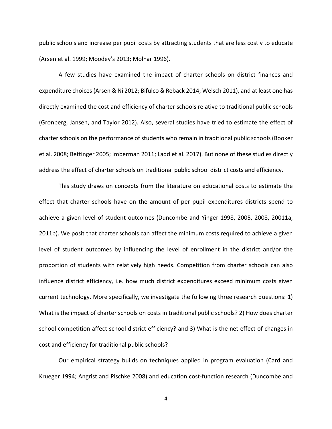public schools and increase per pupil costs by attracting students that are less costly to educate (Arsen et al. 1999; Moodey's 2013; Molnar 1996).

A few studies have examined the impact of charter schools on district finances and expenditure choices (Arsen & Ni 2012; Bifulco & Reback 2014; Welsch 2011), and at least one has directly examined the cost and efficiency of charter schools relative to traditional public schools (Gronberg, Jansen, and Taylor 2012). Also, several studies have tried to estimate the effect of charter schools on the performance of students who remain in traditional public schools (Booker et al. 2008; Bettinger 2005; Imberman 2011; Ladd et al. 2017). But none of these studies directly address the effect of charter schools on traditional public school district costs and efficiency.

This study draws on concepts from the literature on educational costs to estimate the effect that charter schools have on the amount of per pupil expenditures districts spend to achieve a given level of student outcomes (Duncombe and Yinger 1998, 2005, 2008, 20011a, 2011b). We posit that charter schools can affect the minimum costs required to achieve a given level of student outcomes by influencing the level of enrollment in the district and/or the proportion of students with relatively high needs. Competition from charter schools can also influence district efficiency, i.e. how much district expenditures exceed minimum costs given current technology. More specifically, we investigate the following three research questions: 1) What is the impact of charter schools on costs in traditional public schools? 2) How does charter school competition affect school district efficiency? and 3) What is the net effect of changes in cost and efficiency for traditional public schools?

Our empirical strategy builds on techniques applied in program evaluation (Card and Krueger 1994; Angrist and Pischke 2008) and education cost-function research (Duncombe and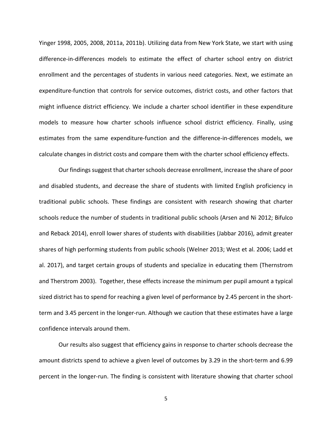Yinger 1998, 2005, 2008, 2011a, 2011b). Utilizing data from New York State, we start with using difference-in-differences models to estimate the effect of charter school entry on district enrollment and the percentages of students in various need categories. Next, we estimate an expenditure-function that controls for service outcomes, district costs, and other factors that might influence district efficiency. We include a charter school identifier in these expenditure models to measure how charter schools influence school district efficiency. Finally, using estimates from the same expenditure-function and the difference-in-differences models, we calculate changes in district costs and compare them with the charter school efficiency effects.

Our findings suggest that charter schools decrease enrollment, increase the share of poor and disabled students, and decrease the share of students with limited English proficiency in traditional public schools. These findings are consistent with research showing that charter schools reduce the number of students in traditional public schools (Arsen and Ni 2012; Bifulco and Reback 2014), enroll lower shares of students with disabilities (Jabbar 2016), admit greater shares of high performing students from public schools (Welner 2013; West et al. 2006; Ladd et al. 2017), and target certain groups of students and specialize in educating them (Thernstrom and Therstrom 2003). Together, these effects increase the minimum per pupil amount a typical sized district has to spend for reaching a given level of performance by 2.45 percent in the shortterm and 3.45 percent in the longer-run. Although we caution that these estimates have a large confidence intervals around them.

Our results also suggest that efficiency gains in response to charter schools decrease the amount districts spend to achieve a given level of outcomes by 3.29 in the short-term and 6.99 percent in the longer-run. The finding is consistent with literature showing that charter school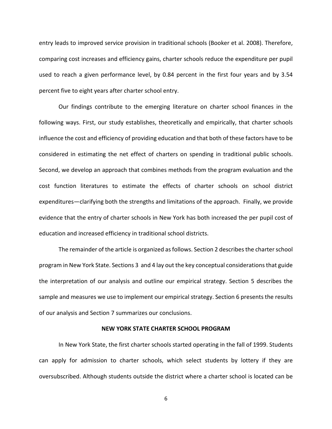entry leads to improved service provision in traditional schools (Booker et al. 2008). Therefore, comparing cost increases and efficiency gains, charter schools reduce the expenditure per pupil used to reach a given performance level, by 0.84 percent in the first four years and by 3.54 percent five to eight years after charter school entry.

Our findings contribute to the emerging literature on charter school finances in the following ways. First, our study establishes, theoretically and empirically, that charter schools influence the cost and efficiency of providing education and that both of these factors have to be considered in estimating the net effect of charters on spending in traditional public schools. Second, we develop an approach that combines methods from the program evaluation and the cost function literatures to estimate the effects of charter schools on school district expenditures—clarifying both the strengths and limitations of the approach. Finally, we provide evidence that the entry of charter schools in New York has both increased the per pupil cost of education and increased efficiency in traditional school districts.

The remainder of the article is organized as follows. Section 2 describes the charter school program in New York State. Sections 3 and 4 lay out the key conceptual considerations that guide the interpretation of our analysis and outline our empirical strategy. Section 5 describes the sample and measures we use to implement our empirical strategy. Section 6 presents the results of our analysis and Section 7 summarizes our conclusions.

## **NEW YORK STATE CHARTER SCHOOL PROGRAM**

In New York State, the first charter schools started operating in the fall of 1999. Students can apply for admission to charter schools, which select students by lottery if they are oversubscribed. Although students outside the district where a charter school is located can be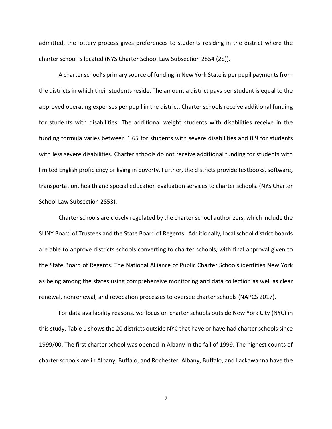admitted, the lottery process gives preferences to students residing in the district where the charter school is located (NYS Charter School Law Subsection 2854 (2b)).

A charter school's primary source of funding in New York State is per pupil payments from the districts in which their students reside. The amount a district pays per student is equal to the approved operating expenses per pupil in the district. Charter schools receive additional funding for students with disabilities. The additional weight students with disabilities receive in the funding formula varies between 1.65 for students with severe disabilities and 0.9 for students with less severe disabilities. Charter schools do not receive additional funding for students with limited English proficiency or living in poverty. Further, the districts provide textbooks, software, transportation, health and special education evaluation services to charter schools. (NYS Charter School Law Subsection 2853).

Charter schools are closely regulated by the charter school authorizers, which include the SUNY Board of Trustees and the State Board of Regents. Additionally, local school district boards are able to approve districts schools converting to charter schools, with final approval given to the State Board of Regents. The National Alliance of Public Charter Schools identifies New York as being among the states using comprehensive monitoring and data collection as well as clear renewal, nonrenewal, and revocation processes to oversee charter schools (NAPCS 2017).

For data availability reasons, we focus on charter schools outside New York City (NYC) in this study. Table 1 shows the 20 districts outside NYC that have or have had charter schools since 1999/00. The first charter school was opened in Albany in the fall of 1999. The highest counts of charter schools are in Albany, Buffalo, and Rochester. Albany, Buffalo, and Lackawanna have the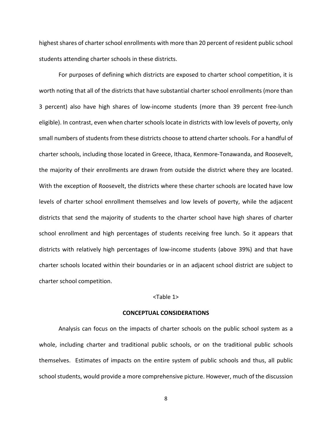highest shares of charter school enrollments with more than 20 percent of resident public school students attending charter schools in these districts.

For purposes of defining which districts are exposed to charter school competition, it is worth noting that all of the districts that have substantial charter school enrollments (more than 3 percent) also have high shares of low-income students (more than 39 percent free-lunch eligible). In contrast, even when charter schools locate in districts with low levels of poverty, only small numbers of students from these districts choose to attend charter schools. For a handful of charter schools, including those located in Greece, Ithaca, Kenmore-Tonawanda, and Roosevelt, the majority of their enrollments are drawn from outside the district where they are located. With the exception of Roosevelt, the districts where these charter schools are located have low levels of charter school enrollment themselves and low levels of poverty, while the adjacent districts that send the majority of students to the charter school have high shares of charter school enrollment and high percentages of students receiving free lunch. So it appears that districts with relatively high percentages of low-income students (above 39%) and that have charter schools located within their boundaries or in an adjacent school district are subject to charter school competition.

#### <Table 1>

## **CONCEPTUAL CONSIDERATIONS**

Analysis can focus on the impacts of charter schools on the public school system as a whole, including charter and traditional public schools, or on the traditional public schools themselves. Estimates of impacts on the entire system of public schools and thus, all public school students, would provide a more comprehensive picture. However, much of the discussion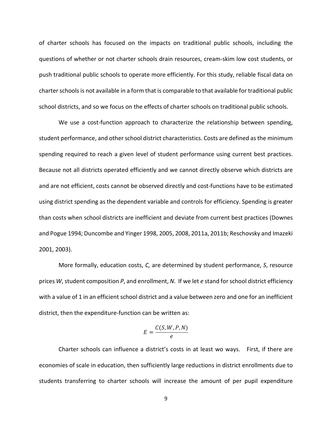of charter schools has focused on the impacts on traditional public schools, including the questions of whether or not charter schools drain resources, cream-skim low cost students, or push traditional public schools to operate more efficiently. For this study, reliable fiscal data on charter schools is not available in a form that is comparable to that available for traditional public school districts, and so we focus on the effects of charter schools on traditional public schools.

We use a cost-function approach to characterize the relationship between spending, student performance, and other school district characteristics. Costs are defined as the minimum spending required to reach a given level of student performance using current best practices. Because not all districts operated efficiently and we cannot directly observe which districts are and are not efficient, costs cannot be observed directly and cost-functions have to be estimated using district spending as the dependent variable and controls for efficiency. Spending is greater than costs when school districts are inefficient and deviate from current best practices (Downes and Pogue 1994; Duncombe and Yinger 1998, 2005, 2008, 2011a, 2011b; Reschovsky and Imazeki 2001, 2003).

More formally, education costs, *C,* are determined by student performance, *S*, resource prices *W*, student composition *P*, and enrollment, *N*. If we let *e* stand for school district efficiency with a value of 1 in an efficient school district and a value between zero and one for an inefficient district, then the expenditure-function can be written as:

$$
E=\frac{C(S,W,P,N)}{e}
$$

Charter schools can influence a district's costs in at least wo ways. First, if there are economies of scale in education, then sufficiently large reductions in district enrollments due to students transferring to charter schools will increase the amount of per pupil expenditure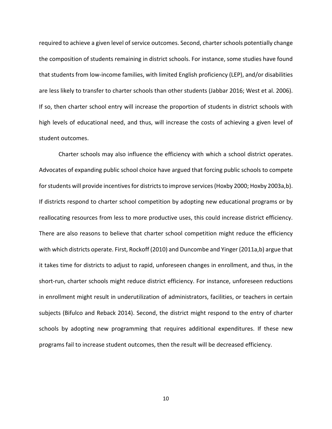required to achieve a given level of service outcomes. Second, charter schools potentially change the composition of students remaining in district schools. For instance, some studies have found that students from low-income families, with limited English proficiency (LEP), and/or disabilities are less likely to transfer to charter schools than other students (Jabbar 2016; West et al. 2006). If so, then charter school entry will increase the proportion of students in district schools with high levels of educational need, and thus, will increase the costs of achieving a given level of student outcomes.

Charter schools may also influence the efficiency with which a school district operates. Advocates of expanding public school choice have argued that forcing public schools to compete for students will provide incentives for districts to improve services (Hoxby 2000; Hoxby 2003a,b). If districts respond to charter school competition by adopting new educational programs or by reallocating resources from less to more productive uses, this could increase district efficiency. There are also reasons to believe that charter school competition might reduce the efficiency with which districts operate. First, Rockoff (2010) and Duncombe and Yinger (2011a,b) argue that it takes time for districts to adjust to rapid, unforeseen changes in enrollment, and thus, in the short-run, charter schools might reduce district efficiency. For instance, unforeseen reductions in enrollment might result in underutilization of administrators, facilities, or teachers in certain subjects (Bifulco and Reback 2014). Second, the district might respond to the entry of charter schools by adopting new programming that requires additional expenditures. If these new programs fail to increase student outcomes, then the result will be decreased efficiency.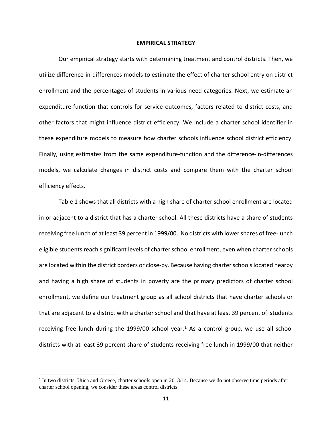#### **EMPIRICAL STRATEGY**

Our empirical strategy starts with determining treatment and control districts. Then, we utilize difference-in-differences models to estimate the effect of charter school entry on district enrollment and the percentages of students in various need categories. Next, we estimate an expenditure-function that controls for service outcomes, factors related to district costs, and other factors that might influence district efficiency. We include a charter school identifier in these expenditure models to measure how charter schools influence school district efficiency. Finally, using estimates from the same expenditure-function and the difference-in-differences models, we calculate changes in district costs and compare them with the charter school efficiency effects.

Table 1 shows that all districts with a high share of charter school enrollment are located in or adjacent to a district that has a charter school. All these districts have a share of students receiving free lunch of at least 39 percent in 1999/00. No districts with lower shares of free-lunch eligible students reach significant levels of charter school enrollment, even when charter schools are located within the district borders or close-by. Because having charter schools located nearby and having a high share of students in poverty are the primary predictors of charter school enrollment, we define our treatment group as all school districts that have charter schools or that are adjacent to a district with a charter school and that have at least 39 percent of students receiving free lunch during the [1](#page-10-0)999/00 school year.<sup>1</sup> As a control group, we use all school districts with at least 39 percent share of students receiving free lunch in 1999/00 that neither

 $\overline{\phantom{a}}$ 

<span id="page-10-0"></span><sup>&</sup>lt;sup>1</sup> In two districts, Utica and Greece, charter schools open in 2013/14. Because we do not observe time periods after charter school opening, we consider these areas control districts.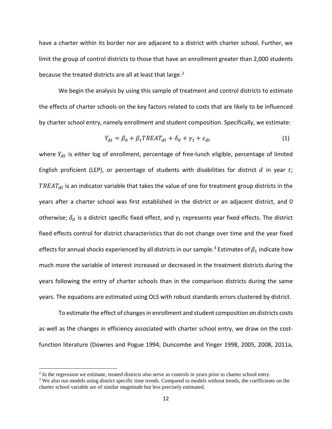have a charter within its border nor are adjacent to a district with charter school. Further, we limit the group of control districts to those that have an enrollment greater than 2,000 students because the treated districts are all at least that large. $2$ 

We begin the analysis by using this sample of treatment and control districts to estimate the effects of charter schools on the key factors related to costs that are likely to be influenced by charter school entry, namely enrollment and student composition. Specifically, we estimate:

$$
Y_{dt} = \beta_0 + \beta_1 T R E A T_{dt} + \delta_d + \gamma_t + \varepsilon_{dt} \tag{1}
$$

where  $Y_{dt}$  is either log of enrollment, percentage of free-lunch eligible, percentage of limited English proficient (LEP), or percentage of students with disabilities for district  $d$  in year  $t$ ;  $TREAT_{dt}$  is an indicator variable that takes the value of one for treatment group districts in the years after a charter school was first established in the district or an adjacent district, and 0 otherwise;  $\delta_d$  is a district specific fixed effect, and  $\gamma_t$  represents year fixed effects. The district fixed effects control for district characteristics that do not change over time and the year fixed effects for annual shocks experienced by all districts in our sample.<sup>[3](#page-11-1)</sup> Estimates of  $\beta_1$  indicate how much more the variable of interest increased or decreased in the treatment districts during the years following the entry of charter schools than in the comparison districts during the same years. The equations are estimated using OLS with robust standards errors clustered by district.

To estimate the effect of changes in enrollment and student composition on districts costs as well as the changes in efficiency associated with charter school entry, we draw on the costfunction literature (Downes and Pogue 1994; Duncombe and Yinger 1998, 2005, 2008, 2011a,

l

<span id="page-11-0"></span><sup>&</sup>lt;sup>2</sup> In the regression we estimate, treated districts also serve as controls in years prior to charter school entry.

<span id="page-11-1"></span><sup>&</sup>lt;sup>3</sup> We also run models using district specific time trends. Compared to models without trends, the coefficients on the charter school variable are of similar magnitude but less precisely estimated.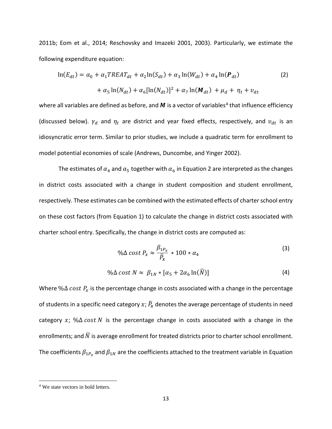2011b; Eom et al., 2014; Reschovsky and Imazeki 2001, 2003). Particularly, we estimate the following expenditure equation:

$$
\ln(E_{dt}) = \alpha_0 + \alpha_1 TREAT_{dt} + \alpha_2 \ln(S_{dt}) + \alpha_3 \ln(W_{dt}) + \alpha_4 \ln(\mathbf{P}_{dt})
$$
\n
$$
+ \alpha_5 \ln(N_{dt}) + \alpha_6 [\ln(N_{dt})]^2 + \alpha_7 \ln(\mathbf{M}_{dt}) + \mu_d + \eta_t + \nu_{dt}
$$
\n(2)

where all variables are defined as before, and  $M$  is a vector of variables<sup>[4](#page-12-0)</sup> that influence efficiency (discussed below).  $\gamma_d$  and  $\eta_t$  are district and year fixed effects, respectively, and  $v_{dt}$  is an idiosyncratic error term. Similar to prior studies, we include a quadratic term for enrollment to model potential economies of scale (Andrews, Duncombe, and Yinger 2002).

The estimates of  $\alpha_4$  and  $\alpha_5$  together with  $\alpha_6$  in Equation 2 are interpreted as the changes in district costs associated with a change in student composition and student enrollment, respectively. These estimates can be combined with the estimated effects of charter school entry on these cost factors (from Equation 1) to calculate the change in district costs associated with charter school entry. Specifically, the change in district costs are computed as:

$$
\% \Delta \cost \, P_x \approx \frac{\beta_{1P_x}}{\bar{P}_x} * 100 * \alpha_4 \tag{3}
$$

$$
\% \Delta \, cost \, N \approx \, \beta_{1N} * [\alpha_5 + 2\alpha_6 \ln(\overline{N})] \tag{4}
$$

Where % $\Delta$  cost  $P_x$  is the percentage change in costs associated with a change in the percentage of students in a specific need category  $x$ ;  $\bar{P}_x$  denotes the average percentage of students in need category x; % $\Delta$  cost N is the percentage change in costs associated with a change in the enrollments; and  $\overline{N}$  is average enrollment for treated districts prior to charter school enrollment. The coefficients  $\beta_{1P_x}$  and  $\beta_{1N}$  are the coefficients attached to the treatment variable in Equation

l

<span id="page-12-0"></span><sup>4</sup> We state vectors in bold letters.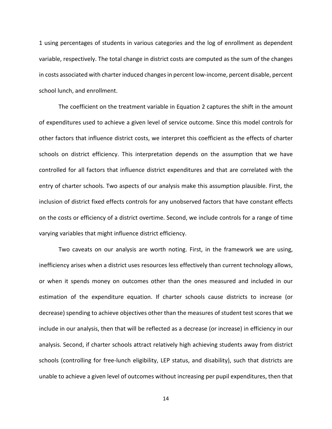1 using percentages of students in various categories and the log of enrollment as dependent variable, respectively. The total change in district costs are computed as the sum of the changes in costs associated with charter induced changes in percent low-income, percent disable, percent school lunch, and enrollment.

The coefficient on the treatment variable in Equation 2 captures the shift in the amount of expenditures used to achieve a given level of service outcome. Since this model controls for other factors that influence district costs, we interpret this coefficient as the effects of charter schools on district efficiency. This interpretation depends on the assumption that we have controlled for all factors that influence district expenditures and that are correlated with the entry of charter schools. Two aspects of our analysis make this assumption plausible. First, the inclusion of district fixed effects controls for any unobserved factors that have constant effects on the costs or efficiency of a district overtime. Second, we include controls for a range of time varying variables that might influence district efficiency.

Two caveats on our analysis are worth noting. First, in the framework we are using, inefficiency arises when a district uses resources less effectively than current technology allows, or when it spends money on outcomes other than the ones measured and included in our estimation of the expenditure equation. If charter schools cause districts to increase (or decrease) spending to achieve objectives other than the measures of student test scores that we include in our analysis, then that will be reflected as a decrease (or increase) in efficiency in our analysis. Second, if charter schools attract relatively high achieving students away from district schools (controlling for free-lunch eligibility, LEP status, and disability), such that districts are unable to achieve a given level of outcomes without increasing per pupil expenditures, then that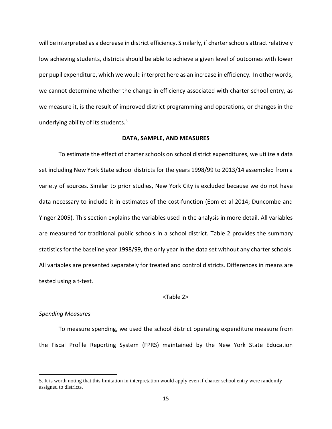will be interpreted as a decrease in district efficiency. Similarly, if charter schools attract relatively low achieving students, districts should be able to achieve a given level of outcomes with lower per pupil expenditure, which we would interpret here as an increase in efficiency. In other words, we cannot determine whether the change in efficiency associated with charter school entry, as we measure it, is the result of improved district programming and operations, or changes in the underlying ability of its students. [5](#page-14-0)

## **DATA, SAMPLE, AND MEASURES**

To estimate the effect of charter schools on school district expenditures, we utilize a data set including New York State school districts for the years 1998/99 to 2013/14 assembled from a variety of sources. Similar to prior studies, New York City is excluded because we do not have data necessary to include it in estimates of the cost-function (Eom et al 2014; Duncombe and Yinger 2005). This section explains the variables used in the analysis in more detail. All variables are measured for traditional public schools in a school district. Table 2 provides the summary statistics for the baseline year 1998/99, the only year in the data set without any charter schools. All variables are presented separately for treated and control districts. Differences in means are tested using a t-test.

## <Table 2>

## *Spending Measures*

l

To measure spending, we used the school district operating expenditure measure from the Fiscal Profile Reporting System (FPRS) maintained by the New York State Education

<span id="page-14-0"></span><sup>5.</sup> It is worth noting that this limitation in interpretation would apply even if charter school entry were randomly assigned to districts.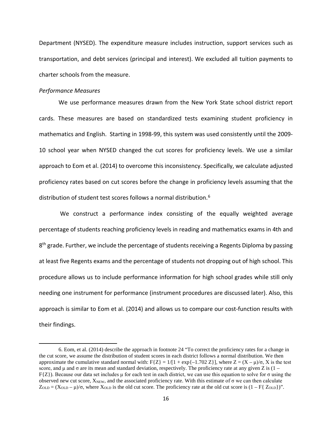Department (NYSED). The expenditure measure includes instruction, support services such as transportation, and debt services (principal and interest). We excluded all tuition payments to charter schools from the measure.

## *Performance Measures*

l

We use performance measures drawn from the New York State school district report cards. These measures are based on standardized tests examining student proficiency in mathematics and English. Starting in 1998-99, this system was used consistently until the 2009- 10 school year when NYSED changed the cut scores for proficiency levels. We use a similar approach to Eom et al. (2014) to overcome this inconsistency. Specifically, we calculate adjusted proficiency rates based on cut scores before the change in proficiency levels assuming that the distribution of student test scores follows a normal distribution.<sup>[6](#page-15-0)</sup>

 We construct a performance index consisting of the equally weighted average percentage of students reaching proficiency levels in reading and mathematics exams in 4th and  $8<sup>th</sup>$  grade. Further, we include the percentage of students receiving a Regents Diploma by passing at least five Regents exams and the percentage of students not dropping out of high school. This procedure allows us to include performance information for high school grades while still only needing one instrument for performance (instrument procedures are discussed later). Also, this approach is similar to Eom et al. (2014) and allows us to compare our cost-function results with their findings.

<span id="page-15-0"></span><sup>6.</sup> Eom, et al. (2014) describe the approach in footnote 24 "To correct the proficiency rates for a change in the cut score, we assume the distribution of student scores in each district follows a normal distribution. We then approximate the cumulative standard normal with:  $F{Z} = 1/[1 + \exp{-1.702 Z}]$ , where  $Z = (X - \mu)/\sigma$ , X is the test score, and  $\mu$  and  $\sigma$  are its mean and standard deviation, respectively. The proficiency rate at any given Z is (1 –  $F{Z}$ ). Because our data set includes μ for each test in each district, we can use this equation to solve for  $\sigma$  using the observed new cut score,  $X_{NEW}$ , and the associated proficiency rate. With this estimate of  $\sigma$  we can then calculate  $Z_{OLD} = (X_{OLD} - \mu)/\sigma$ , where  $X_{OLD}$  is the old cut score. The proficiency rate at the old cut score is  $(1 - F\{Z_{OLD}\})$ ".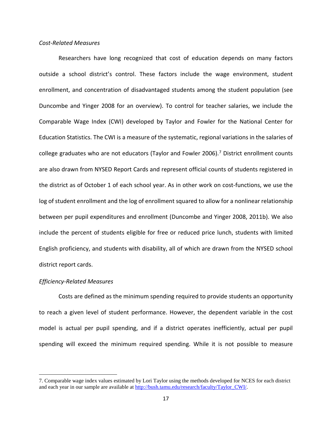## *Cost-Related Measures*

Researchers have long recognized that cost of education depends on many factors outside a school district's control. These factors include the wage environment, student enrollment, and concentration of disadvantaged students among the student population (see Duncombe and Yinger 2008 for an overview). To control for teacher salaries, we include the Comparable Wage Index (CWI) developed by Taylor and Fowler for the National Center for Education Statistics. The CWI is a measure of the systematic, regional variations in the salaries of college graduates who are not educators (Taylor and Fowler 2006).[7](#page-16-0) District enrollment counts are also drawn from NYSED Report Cards and represent official counts of students registered in the district as of October 1 of each school year. As in other work on cost-functions, we use the log of student enrollment and the log of enrollment squared to allow for a nonlinear relationship between per pupil expenditures and enrollment (Duncombe and Yinger 2008, 2011b). We also include the percent of students eligible for free or reduced price lunch, students with limited English proficiency, and students with disability, all of which are drawn from the NYSED school district report cards.

#### *Efficiency-Related Measures*

l

Costs are defined as the minimum spending required to provide students an opportunity to reach a given level of student performance. However, the dependent variable in the cost model is actual per pupil spending, and if a district operates inefficiently, actual per pupil spending will exceed the minimum required spending. While it is not possible to measure

<span id="page-16-0"></span><sup>7.</sup> Comparable wage index values estimated by Lori Taylor using the methods developed for NCES for each district and each year in our sample are available at [http://bush.tamu.edu/research/faculty/Taylor\\_CWI/.](http://bush.tamu.edu/research/faculty/Taylor_CWI/)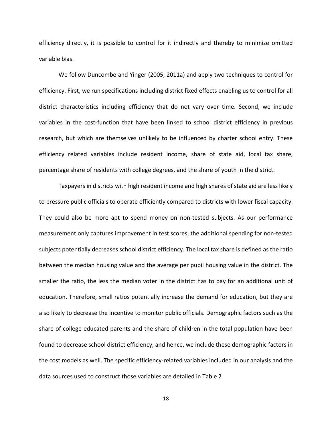efficiency directly, it is possible to control for it indirectly and thereby to minimize omitted variable bias.

We follow Duncombe and Yinger (2005, 2011a) and apply two techniques to control for efficiency. First, we run specifications including district fixed effects enabling us to control for all district characteristics including efficiency that do not vary over time. Second, we include variables in the cost-function that have been linked to school district efficiency in previous research, but which are themselves unlikely to be influenced by charter school entry. These efficiency related variables include resident income, share of state aid, local tax share, percentage share of residents with college degrees, and the share of youth in the district.

Taxpayers in districts with high resident income and high shares of state aid are less likely to pressure public officials to operate efficiently compared to districts with lower fiscal capacity. They could also be more apt to spend money on non-tested subjects. As our performance measurement only captures improvement in test scores, the additional spending for non-tested subjects potentially decreases school district efficiency. The local tax share is defined as the ratio between the median housing value and the average per pupil housing value in the district. The smaller the ratio, the less the median voter in the district has to pay for an additional unit of education. Therefore, small ratios potentially increase the demand for education, but they are also likely to decrease the incentive to monitor public officials. Demographic factors such as the share of college educated parents and the share of children in the total population have been found to decrease school district efficiency, and hence, we include these demographic factors in the cost models as well. The specific efficiency-related variables included in our analysis and the data sources used to construct those variables are detailed in Table 2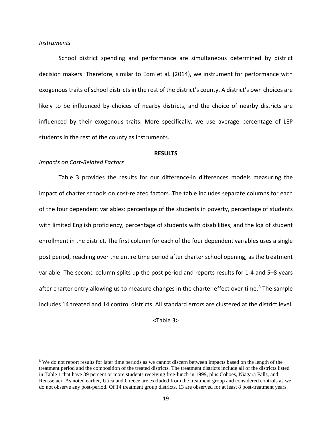### *Instruments*

 $\overline{\phantom{a}}$ 

School district spending and performance are simultaneous determined by district decision makers. Therefore, similar to Eom et al. (2014), we instrument for performance with exogenous traits of school districts in the rest of the district's county. A district's own choices are likely to be influenced by choices of nearby districts, and the choice of nearby districts are influenced by their exogenous traits. More specifically, we use average percentage of LEP students in the rest of the county as instruments.

#### **RESULTS**

## *Impacts on Cost-Related Factors*

Table 3 provides the results for our difference-in differences models measuring the impact of charter schools on cost-related factors. The table includes separate columns for each of the four dependent variables: percentage of the students in poverty, percentage of students with limited English proficiency, percentage of students with disabilities, and the log of student enrollment in the district. The first column for each of the four dependent variables uses a single post period, reaching over the entire time period after charter school opening, as the treatment variable. The second column splits up the post period and reports results for 1-4 and 5–8 years after charter entry allowing us to measure changes in the charter effect over time.<sup>8</sup> The sample includes 14 treated and 14 control districts. All standard errors are clustered at the district level.

<Table 3>

<span id="page-18-0"></span><sup>&</sup>lt;sup>8</sup> We do not report results for later time periods as we cannot discern between impacts based on the length of the treatment period and the composition of the treated districts. The treatment districts include all of the districts listed in Table 1 that have 39 percent or more students receiving free-lunch in 1999, plus Cohoes, Niagara Falls, and Rensselaer. As noted earlier, Utica and Greece are excluded from the treatment group and considered controls as we do not observe any post-period. Of 14 treatment group districts, 13 are observed for at least 8 post-treatment years.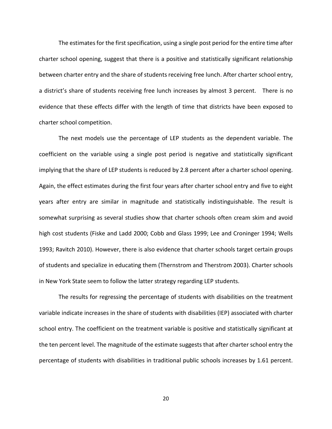The estimates for the first specification, using a single post period for the entire time after charter school opening, suggest that there is a positive and statistically significant relationship between charter entry and the share of students receiving free lunch. After charter school entry, a district's share of students receiving free lunch increases by almost 3 percent. There is no evidence that these effects differ with the length of time that districts have been exposed to charter school competition.

The next models use the percentage of LEP students as the dependent variable. The coefficient on the variable using a single post period is negative and statistically significant implying that the share of LEP students is reduced by 2.8 percent after a charter school opening. Again, the effect estimates during the first four years after charter school entry and five to eight years after entry are similar in magnitude and statistically indistinguishable. The result is somewhat surprising as several studies show that charter schools often cream skim and avoid high cost students (Fiske and Ladd 2000; Cobb and Glass 1999; Lee and Croninger 1994; Wells 1993; Ravitch 2010). However, there is also evidence that charter schools target certain groups of students and specialize in educating them (Thernstrom and Therstrom 2003). Charter schools in New York State seem to follow the latter strategy regarding LEP students.

The results for regressing the percentage of students with disabilities on the treatment variable indicate increases in the share of students with disabilities (IEP) associated with charter school entry. The coefficient on the treatment variable is positive and statistically significant at the ten percent level. The magnitude of the estimate suggests that after charter school entry the percentage of students with disabilities in traditional public schools increases by 1.61 percent.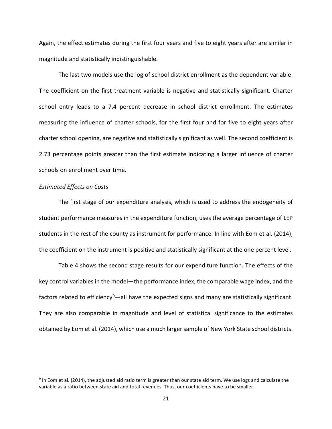Again, the effect estimates during the first four years and five to eight years after are similar in magnitude and statistically indistinguishable.

The last two models use the log of school district enrollment as the dependent variable. The coefficient on the first treatment variable is negative and statistically significant. Charter school entry leads to a 7.4 percent decrease in school district enrollment. The estimates measuring the influence of charter schools, for the first four and for five to eight years after charter school opening, are negative and statistically significant as well. The second coefficient is 2.73 percentage points greater than the first estimate indicating a larger influence of charter schools on enrollment over time.

## *Estimated Effects on Costs*

 $\overline{a}$ 

The first stage of our expenditure analysis, which is used to address the endogeneity of student performance measures in the expenditure function, uses the average percentage of LEP students in the rest of the county as instrument for performance. In line with Eom et al. (2014), the coefficient on the instrument is positive and statistically significant at the one percent level.

Table 4 shows the second stage results for our expenditure function. The effects of the key control variables in the model—the performance index, the comparable wage index, and the factors related to efficiency<sup>9</sup>—all have the expected signs and many are statistically significant. They are also comparable in magnitude and level of statistical significance to the estimates obtained by Eom et al. (2014), which use a much larger sample of New York State school districts.

<span id="page-20-0"></span> $9$  In Eom et al. (2014), the adjusted aid ratio term is greater than our state aid term. We use logs and calculate the variable as a ratio between state aid and total revenues. Thus, our coefficients have to be smaller.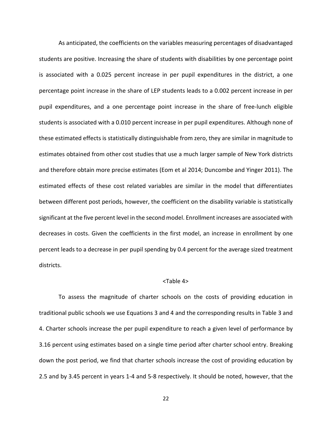As anticipated, the coefficients on the variables measuring percentages of disadvantaged students are positive. Increasing the share of students with disabilities by one percentage point is associated with a 0.025 percent increase in per pupil expenditures in the district, a one percentage point increase in the share of LEP students leads to a 0.002 percent increase in per pupil expenditures, and a one percentage point increase in the share of free-lunch eligible students is associated with a 0.010 percent increase in per pupil expenditures. Although none of these estimated effects is statistically distinguishable from zero, they are similar in magnitude to estimates obtained from other cost studies that use a much larger sample of New York districts and therefore obtain more precise estimates (Eom et al 2014; Duncombe and Yinger 2011). The estimated effects of these cost related variables are similar in the model that differentiates between different post periods, however, the coefficient on the disability variable is statistically significant at the five percent level in the second model. Enrollment increases are associated with decreases in costs. Given the coefficients in the first model, an increase in enrollment by one percent leads to a decrease in per pupil spending by 0.4 percent for the average sized treatment districts.

# <Table 4>

To assess the magnitude of charter schools on the costs of providing education in traditional public schools we use Equations 3 and 4 and the corresponding results in Table 3 and 4. Charter schools increase the per pupil expenditure to reach a given level of performance by 3.16 percent using estimates based on a single time period after charter school entry. Breaking down the post period, we find that charter schools increase the cost of providing education by 2.5 and by 3.45 percent in years 1-4 and 5-8 respectively. It should be noted, however, that the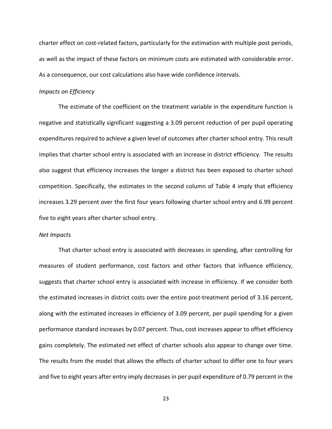charter effect on cost-related factors, particularly for the estimation with multiple post periods, as well as the impact of these factors on minimum costs are estimated with considerable error. As a consequence, our cost calculations also have wide confidence intervals.

#### *Impacts on Efficiency*

The estimate of the coefficient on the treatment variable in the expenditure function is negative and statistically significant suggesting a 3.09 percent reduction of per pupil operating expenditures required to achieve a given level of outcomes after charter school entry. This result implies that charter school entry is associated with an increase in district efficiency. The results also suggest that efficiency increases the longer a district has been exposed to charter school competition. Specifically, the estimates in the second column of Table 4 imply that efficiency increases 3.29 percent over the first four years following charter school entry and 6.99 percent five to eight years after charter school entry.

### *Net Impacts*

That charter school entry is associated with decreases in spending, after controlling for measures of student performance, cost factors and other factors that influence efficiency, suggests that charter school entry is associated with increase in efficiency. If we consider both the estimated increases in district costs over the entire post-treatment period of 3.16 percent, along with the estimated increases in efficiency of 3.09 percent, per pupil spending for a given performance standard increases by 0.07 percent. Thus, cost increases appear to offset efficiency gains completely. The estimated net effect of charter schools also appear to change over time. The results from the model that allows the effects of charter school to differ one to four years and five to eight years after entry imply decreases in per pupil expenditure of 0.79 percent in the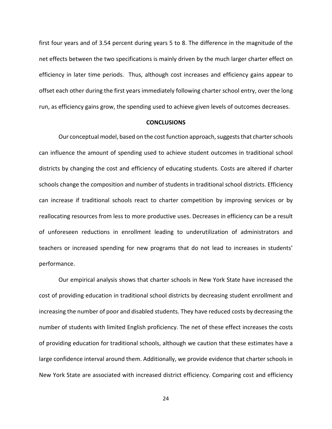first four years and of 3.54 percent during years 5 to 8. The difference in the magnitude of the net effects between the two specifications is mainly driven by the much larger charter effect on efficiency in later time periods. Thus, although cost increases and efficiency gains appear to offset each other during the first years immediately following charter school entry, over the long run, as efficiency gains grow, the spending used to achieve given levels of outcomes decreases.

## **CONCLUSIONS**

Our conceptual model, based on the cost function approach, suggests that charter schools can influence the amount of spending used to achieve student outcomes in traditional school districts by changing the cost and efficiency of educating students. Costs are altered if charter schools change the composition and number of students in traditional school districts. Efficiency can increase if traditional schools react to charter competition by improving services or by reallocating resources from less to more productive uses. Decreases in efficiency can be a result of unforeseen reductions in enrollment leading to underutilization of administrators and teachers or increased spending for new programs that do not lead to increases in students' performance.

Our empirical analysis shows that charter schools in New York State have increased the cost of providing education in traditional school districts by decreasing student enrollment and increasing the number of poor and disabled students. They have reduced costs by decreasing the number of students with limited English proficiency. The net of these effect increases the costs of providing education for traditional schools, although we caution that these estimates have a large confidence interval around them. Additionally, we provide evidence that charter schools in New York State are associated with increased district efficiency. Comparing cost and efficiency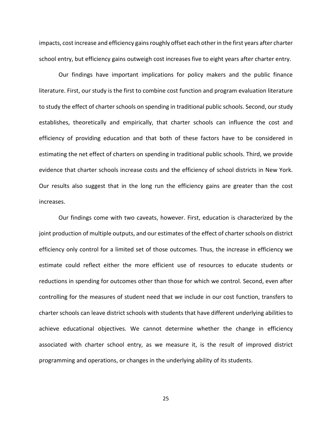impacts, cost increase and efficiency gains roughly offset each other in the first years after charter school entry, but efficiency gains outweigh cost increases five to eight years after charter entry.

Our findings have important implications for policy makers and the public finance literature. First, our study is the first to combine cost function and program evaluation literature to study the effect of charter schools on spending in traditional public schools. Second, our study establishes, theoretically and empirically, that charter schools can influence the cost and efficiency of providing education and that both of these factors have to be considered in estimating the net effect of charters on spending in traditional public schools. Third, we provide evidence that charter schools increase costs and the efficiency of school districts in New York. Our results also suggest that in the long run the efficiency gains are greater than the cost increases.

Our findings come with two caveats, however. First, education is characterized by the joint production of multiple outputs, and our estimates of the effect of charter schools on district efficiency only control for a limited set of those outcomes. Thus, the increase in efficiency we estimate could reflect either the more efficient use of resources to educate students or reductions in spending for outcomes other than those for which we control. Second, even after controlling for the measures of student need that we include in our cost function, transfers to charter schools can leave district schools with students that have different underlying abilities to achieve educational objectives. We cannot determine whether the change in efficiency associated with charter school entry, as we measure it, is the result of improved district programming and operations, or changes in the underlying ability of its students.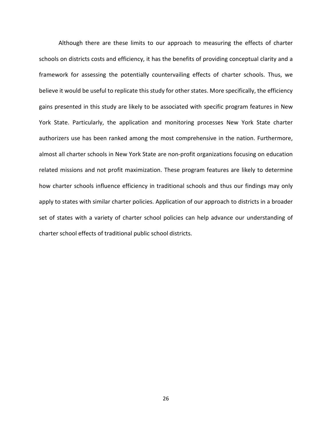Although there are these limits to our approach to measuring the effects of charter schools on districts costs and efficiency, it has the benefits of providing conceptual clarity and a framework for assessing the potentially countervailing effects of charter schools. Thus, we believe it would be useful to replicate this study for other states. More specifically, the efficiency gains presented in this study are likely to be associated with specific program features in New York State. Particularly, the application and monitoring processes New York State charter authorizers use has been ranked among the most comprehensive in the nation. Furthermore, almost all charter schools in New York State are non-profit organizations focusing on education related missions and not profit maximization. These program features are likely to determine how charter schools influence efficiency in traditional schools and thus our findings may only apply to states with similar charter policies. Application of our approach to districts in a broader set of states with a variety of charter school policies can help advance our understanding of charter school effects of traditional public school districts.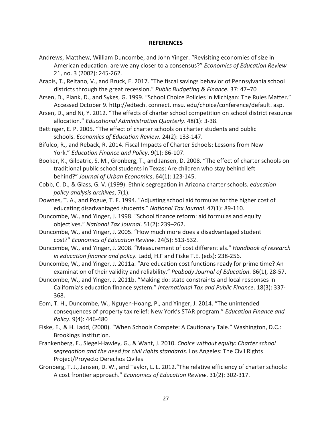## **REFERENCES**

- Andrews, Matthew, William Duncombe, and John Yinger. "Revisiting economies of size in American education: are we any closer to a consensus?" *Economics of Education Review* 21, no. 3 (2002): 245-262.
- Arapis, T., Reitano, V., and Bruck, E. 2017. "The fiscal savings behavior of Pennsylvania school districts through the great recession." *Public Budgeting & Finance.* 37: 47–70
- Arsen, D., Plank, D., and Sykes, G. 1999. "School Choice Policies in Michigan: The Rules Matter." Accessed October 9. http://edtech. connect. msu. edu/choice/conference/default. asp.
- Arsen, D., and Ni, Y. 2012. "The effects of charter school competition on school district resource allocation." *Educational Administration Quarterly*. 48(1): 3-38.
- Bettinger, E. P. 2005. "The effect of charter schools on charter students and public schools. *Economics of Education Review*. 24(2): 133-147.
- Bifulco, R., and Reback, R. 2014. Fiscal Impacts of Charter Schools: Lessons from New York." *Education Finance and Policy*. 9(1): 86-107.
- Booker, K., Gilpatric, S. M., Gronberg, T., and Jansen, D. 2008. "The effect of charter schools on traditional public school students in Texas: Are children who stay behind left behind?" *Journal of Urban Economics*, 64(1): 123-145.
- Cobb, C. D., & Glass, G. V. (1999). Ethnic segregation in Arizona charter schools. *education policy analysis archives*, 7(1).
- Downes, T. A., and Pogue, T. F. 1994. "Adjusting school aid formulas for the higher cost of educating disadvantaged students." *National Tax Journal*. 47(1): 89-110.
- Duncombe, W., and Yinger, J. 1998. "School finance reform: aid formulas and equity objectives." *National Tax Journal*. 51(2): 239–262.
- Duncombe, W., and Yinger, J. 2005. "How much more does a disadvantaged student cost?" *Economics of Education Review*. 24(5): 513-532.
- Duncombe, W., and Yinger, J. 2008. "Measurement of cost differentials." *Handbook of research in education finance and policy.* Ladd, H.F and Fiske T.E. (eds): 238-256.
- Duncombe, W., and Yinger, J. 2011a. "Are education cost functions ready for prime time? An examination of their validity and reliability." *Peabody Journal of Education*. 86(1), 28-57.
- Duncombe, W., and Yinger, J. 2011b. "Making do: state constraints and local responses in California's education finance system." *International Tax and Public Finance*. 18(3): 337- 368.
- Eom, T. H., Duncombe, W., Nguyen-Hoang, P., and Yinger, J. 2014. "The unintended consequences of property tax relief: New York's STAR program." *Education Finance and Policy*. 9(4): 446-480
- Fiske, E., & H. Ladd, (2000). "When Schools Compete: A Cautionary Tale." Washington, D.C.: Brookings Institution.
- Frankenberg, E., Siegel-Hawley, G., & Want, J. 2010. *Choice without equity: Charter school segregation and the need for civil rights standards*. Los Angeles: The Civil Rights Project/Proyecto Derechos Civiles
- Gronberg, T. J., Jansen, D. W., and Taylor, L. L. 2012."The relative efficiency of charter schools: A cost frontier approach." *Economics of Education Review*. 31(2): 302-317.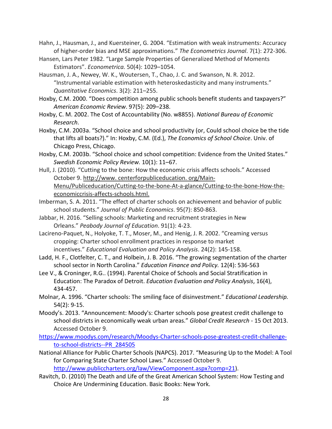- Hahn, J., Hausman, J., and Kuersteiner, G. 2004. "Estimation with weak instruments: Accuracy of higher-order bias and MSE approximations." *The Econometrics Journal*. 7(1): 272-306.
- Hansen, Lars Peter 1982. "Large Sample Properties of Generalized Method of Moments Estimators". *Econometrica.* 50(4): 1029–1054.
- Hausman, J. A., Newey, W. K., Woutersen, T., Chao, J. C. and Swanson, N. R. 2012. "Instrumental variable estimation with heteroskedasticity and many instruments." *Quantitative Economics*. 3(2): 211–255.
- Hoxby, C.M. 2000. "Does competition among public schools benefit students and taxpayers?" *American Economic Review*. 97(5): 209–238.
- Hoxby, C. M. 2002. The Cost of Accountability (No. w8855). *National Bureau of Economic Research*.
- Hoxby, C.M. 2003a. "School choice and school productivity (or, Could school choice be the tide that lifts all boats?)." In: Hoxby, C.M. (Ed.), *The Economics of School Choice*. Univ. of Chicago Press, Chicago.
- Hoxby, C.M. 2003b. "School choice and school competition: Evidence from the United States." *Swedish Economic Policy Review.* 10(1): 11–67.
- Hull, J. (2010). "Cutting to the bone: How the economic crisis affects schools." Accessed October 9. http://www. centerforpubliceducation. org/Main-Menu/Publiceducation/Cutting-to-the-bone-At-a-glance/Cutting-to-the-bone-How-theeconomiccrisis-affects-schools.html.
- Imberman, S. A. 2011. "The effect of charter schools on achievement and behavior of public school students." *Journal of Public Economics*. 95(7): 850-863.
- Jabbar, H. 2016. "Selling schools: Marketing and recruitment strategies in New Orleans." *Peabody Journal of Education*. 91(1): 4-23.
- Lacireno-Paquet, N., Holyoke, T. T., Moser, M., and Henig, J. R. 2002. "Creaming versus cropping: Charter school enrollment practices in response to market incentives." *Educational Evaluation and Policy Analysis*. 24(2): 145-158.
- Ladd, H. F., Clotfelter, C. T., and Holbein, J. B. 2016. "The growing segmentation of the charter school sector in North Carolina." *Education Finance and Policy.* 12(4): 536-563
- Lee V., & Croninger, R.G.. (1994). Parental Choice of Schools and Social Stratification in Education: The Paradox of Detroit. *Education Evaluation and Policy Analysis*, 16(4), 434-457.
- Molnar, A. 1996. "Charter schools: The smiling face of disinvestment." *Educational Leadership.* 54(2): 9-15.
- Moody's. 2013. "Announcement: Moody's: Charter schools pose greatest credit challenge to school districts in economically weak urban areas." *Global Credit Research* - 15 Oct 2013. Accessed October 9.

[https://www.moodys.com/research/Moodys-Charter-schools-pose-greatest-credit-challenge](https://www.moodys.com/research/Moodys-Charter-schools-pose-greatest-credit-challenge-to-school-districts--PR_284505)[to-school-districts--PR\\_284505](https://www.moodys.com/research/Moodys-Charter-schools-pose-greatest-credit-challenge-to-school-districts--PR_284505)

- National Alliance for Public Charter Schools (NAPCS). 2017. "Measuring Up to the Model: A Tool for Comparing State Charter School Laws." Accessed October 9. [http://www.publiccharters.org/law/ViewComponent.aspx?comp=21\)](http://www.publiccharters.org/law/ViewComponent.aspx?comp=21).
- Ravitch, D. (2010) The Death and Life of the Great American School System: How Testing and Choice Are Undermining Education. Basic Books: New York.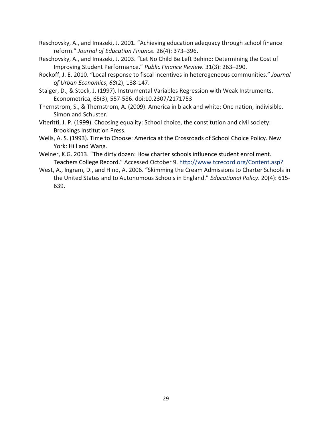- Reschovsky, A., and Imazeki, J. 2001. "Achieving education adequacy through school finance reform." *Journal of Education Finance.* 26(4): 373–396.
- Reschovsky, A., and Imazeki, J. 2003. "Let No Child Be Left Behind: Determining the Cost of Improving Student Performance." *Public Finance Review.* 31(3): 263–290.
- Rockoff, J. E. 2010. "Local response to fiscal incentives in heterogeneous communities." *Journal of Urban Economics*, *68*(2), 138-147.
- Staiger, D., & Stock, J. (1997). Instrumental Variables Regression with Weak Instruments. Econometrica, 65(3), 557-586. doi:10.2307/2171753
- Thernstrom, S., & Thernstrom, A. (2009). America in black and white: One nation, indivisible. Simon and Schuster.
- Viteritti, J. P. (1999). Choosing equality: School choice, the constitution and civil society: Brookings Institution Press.
- Wells, A. S. (1993). Time to Choose: America at the Crossroads of School Choice Policy. New York: Hill and Wang.
- Welner, K.G. 2013. "The dirty dozen: How charter schools influence student enrollment. Teachers College Record." Accessed October 9. [http://www.tcrecord.org/Content.asp?](http://www.tcrecord.org/Content.asp?ContentID)
- West, A., Ingram, D., and Hind, A. 2006. "Skimming the Cream Admissions to Charter Schools in the United States and to Autonomous Schools in England." *Educational Policy*. 20(4): 615- 639.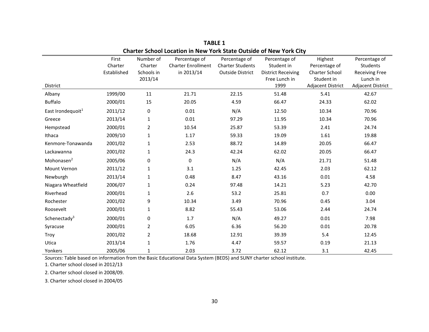|                               | First       | Number of      | Percentage of             | Percentage of           | Percentage of             | Highest                  | Percentage of         |
|-------------------------------|-------------|----------------|---------------------------|-------------------------|---------------------------|--------------------------|-----------------------|
|                               | Charter     | Charter        | <b>Charter Enrollment</b> | <b>Charter Students</b> | Student in                | Percentage of            | Students              |
|                               | Established | Schools in     | in 2013/14                | <b>Outside District</b> | <b>District Receiving</b> | Charter School           | <b>Receiving Free</b> |
|                               |             | 2013/14        |                           |                         | Free Lunch in             | Student in               | Lunch in              |
| District                      |             |                |                           |                         | 1999                      | <b>Adjacent District</b> | Adjacent District     |
| Albany                        | 1999/00     | 11             | 21.71                     | 22.15                   | 51.48                     | 5.41                     | 42.67                 |
| <b>Buffalo</b>                | 2000/01     | 15             | 20.05                     | 4.59                    | 66.47                     | 24.33                    | 62.02                 |
| East Irondequoit <sup>1</sup> | 2011/12     | 0              | 0.01                      | N/A                     | 12.50                     | 10.34                    | 70.96                 |
| Greece                        | 2013/14     | $\mathbf{1}$   | 0.01                      | 97.29                   | 11.95                     | 10.34                    | 70.96                 |
| Hempstead                     | 2000/01     | $\overline{2}$ | 10.54                     | 25.87                   | 53.39                     | 2.41                     | 24.74                 |
| Ithaca                        | 2009/10     | $\mathbf{1}$   | 1.17                      | 59.33                   | 19.09                     | 1.61                     | 19.88                 |
| Kenmore-Tonawanda             | 2001/02     | $\mathbf{1}$   | 2.53                      | 88.72                   | 14.89                     | 20.05                    | 66.47                 |
| Lackawanna                    | 2001/02     | $\mathbf{1}$   | 24.3                      | 42.24                   | 62.02                     | 20.05                    | 66.47                 |
| Mohonasen <sup>2</sup>        | 2005/06     | 0              | $\Omega$                  | N/A                     | N/A                       | 21.71                    | 51.48                 |
| <b>Mount Vernon</b>           | 2011/12     | $\mathbf{1}$   | 3.1                       | 1.25                    | 42.45                     | 2.03                     | 62.12                 |
| Newburgh                      | 2013/14     | $\mathbf{1}$   | 0.48                      | 8.47                    | 43.16                     | 0.01                     | 4.58                  |
| Niagara Wheatfield            | 2006/07     | $\mathbf{1}$   | 0.24                      | 97.48                   | 14.21                     | 5.23                     | 42.70                 |
| Riverhead                     | 2000/01     | $\mathbf{1}$   | 2.6                       | 53.2                    | 25.81                     | 0.7                      | 0.00                  |
| Rochester                     | 2001/02     | 9              | 10.34                     | 3.49                    | 70.96                     | 0.45                     | 3.04                  |
| Roosevelt                     | 2000/01     | $\mathbf{1}$   | 8.82                      | 55.43                   | 53.06                     | 2.44                     | 24.74                 |
| Schenectady <sup>3</sup>      | 2000/01     | 0              | 1.7                       | N/A                     | 49.27                     | 0.01                     | 7.98                  |
| Syracuse                      | 2000/01     | $\overline{2}$ | 6.05                      | 6.36                    | 56.20                     | 0.01                     | 20.78                 |
| Troy                          | 2001/02     | $\overline{2}$ | 18.68                     | 12.91                   | 39.39                     | 5.4                      | 12.45                 |
| Utica                         | 2013/14     | $\mathbf{1}$   | 1.76                      | 4.47                    | 59.57                     | 0.19                     | 21.13                 |
| Yonkers                       | 2005/06     | $\mathbf{1}$   | 2.03                      | 3.72                    | 62.12                     | 3.1                      | 42.45                 |

**TABLE 1 Charter School Location in New York State Outside of New York City**

*Sources:* Table based on information from the Basic Educational Data System (BEDS) and SUNY charter school institute.

1. Charter school closed in 2012/13

2. Charter school closed in 2008/09.

3. Charter school closed in 2004/05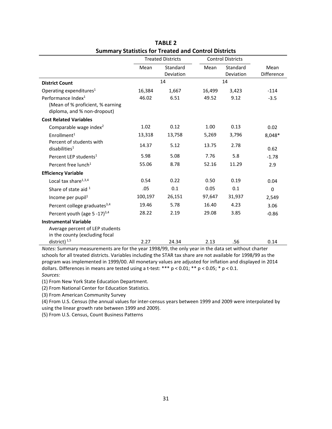|                                                                                                   | <b>Treated Districts</b> |                              | <b>Control Districts</b> |                       |                    |
|---------------------------------------------------------------------------------------------------|--------------------------|------------------------------|--------------------------|-----------------------|--------------------|
|                                                                                                   | Mean                     | Standard<br><b>Deviation</b> | Mean                     | Standard<br>Deviation | Mean<br>Difference |
| <b>District Count</b>                                                                             | 14                       |                              | 14                       |                       |                    |
| Operating expenditures <sup>1</sup>                                                               | 16,384                   | 1,667                        | 16,499                   | 3,423                 | $-114$             |
| Performance Index <sup>1</sup><br>(Mean of % proficient, % earning<br>diploma, and % non-dropout) | 46.02                    | 6.51                         | 49.52                    | 9.12                  | $-3.5$             |
| <b>Cost Related Variables</b>                                                                     |                          |                              |                          |                       |                    |
| Comparable wage index <sup>2</sup>                                                                | 1.02                     | 0.12                         | 1.00                     | 0.13                  | 0.02               |
| Enrollment <sup>1</sup>                                                                           | 13,318                   | 13,758                       | 5,269                    | 3,796                 | 8,048*             |
| Percent of students with<br>disabilities <sup>1</sup>                                             | 14.37                    | 5.12                         | 13.75                    | 2.78                  | 0.62               |
| Percent LEP students <sup>1</sup>                                                                 | 5.98                     | 5.08                         | 7.76                     | 5.8                   | $-1.78$            |
| Percent free lunch <sup>1</sup>                                                                   | 55.06                    | 8.78                         | 52.16                    | 11.29                 | 2.9                |
| <b>Efficiency Variable</b>                                                                        |                          |                              |                          |                       |                    |
| Local tax share $1,3,4$                                                                           | 0.54                     | 0.22                         | 0.50                     | 0.19                  | 0.04               |
| Share of state aid 1                                                                              | .05                      | 0.1                          | 0.05                     | 0.1                   | 0                  |
| Income per pupil <sup>1</sup>                                                                     | 100,197                  | 26,151                       | 97,647                   | 31,937                | 2,549              |
| Percent college graduates <sup>3,4</sup>                                                          | 19.46                    | 5.78                         | 16.40                    | 4.23                  | 3.06               |
| Percent youth (age $5 - 17$ ) <sup>3,4</sup>                                                      | 28.22                    | 2.19                         | 29.08                    | 3.85                  | $-0.86$            |
| <b>Instrumental Variable</b><br>Average percent of LEP students<br>in the county (excluding focal |                          |                              |                          |                       |                    |
| district) $1,5$                                                                                   | 2.27                     | 24.34                        | 2.13                     | .56                   | 0.14               |

**TABLE 2 Summary Statistics for Treated and Control Districts**

*Notes:* Summary measurements are for the year 1998/99, the only year in the data set without charter schools for all treated districts. Variables including the STAR tax share are not available for 1998/99 as the program was implemented in 1999/00. All monetary values are adjusted for inflation and displayed in 2014 dollars. Differences in means are tested using a t-test: \*\*\* p < 0.01; \*\* p < 0.05; \* p < 0.1. *Sources:*

(1) From New York State Education Department.

(2) From National Center for Education Statistics.

(3) From American Community Survey

(4) From U.S. Census (the annual values for inter-census years between 1999 and 2009 were interpolated by using the linear growth rate between 1999 and 2009).

(5) From U.S. Census, Count Business Patterns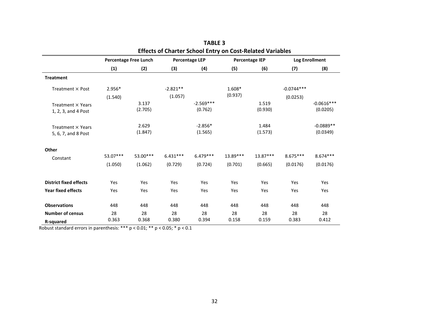|                               | <b>Effects of Charter School Entry on Cost-Related Variables</b> |          |                       |             |                       |            |                       |              |
|-------------------------------|------------------------------------------------------------------|----------|-----------------------|-------------|-----------------------|------------|-----------------------|--------------|
|                               | <b>Percentage Free Lunch</b>                                     |          | <b>Percentage LEP</b> |             | <b>Percentage IEP</b> |            | <b>Log Enrollment</b> |              |
|                               | (1)                                                              | (2)      | (3)                   | (4)         | (5)                   | (6)        | (7)                   | (8)          |
| <b>Treatment</b>              |                                                                  |          |                       |             |                       |            |                       |              |
| Treatment $\times$ Post       | $2.956*$                                                         |          | $-2.821**$            |             | 1.608*                |            | $-0.0744***$          |              |
|                               | (1.540)                                                          |          | (1.057)               |             | (0.937)               |            | (0.0253)              |              |
| Treatment × Years             |                                                                  | 3.137    |                       | $-2.569***$ |                       | 1.519      |                       | $-0.0616***$ |
| 1, 2, 3, and 4 Post           |                                                                  | (2.705)  |                       | (0.762)     |                       | (0.930)    |                       | (0.0205)     |
| Treatment $\times$ Years      |                                                                  | 2.629    |                       | $-2.856*$   |                       | 1.484      |                       | $-0.0889**$  |
| 5, 6, 7, and 8 Post           |                                                                  | (1.847)  |                       | (1.565)     |                       | (1.573)    |                       | (0.0349)     |
| Other                         |                                                                  |          |                       |             |                       |            |                       |              |
| Constant                      | 53.07***                                                         | 53.00*** | $6.431***$            | $6.479***$  | 13.89***              | $13.87***$ | $8.675***$            | $8.674***$   |
|                               | (1.050)                                                          | (1.062)  | (0.729)               | (0.724)     | (0.701)               | (0.665)    | (0.0176)              | (0.0176)     |
| <b>District fixed effects</b> | Yes                                                              | Yes      | Yes                   | Yes         | Yes                   | Yes        | Yes                   | Yes          |
| <b>Year fixed effects</b>     | Yes                                                              | Yes      | Yes                   | Yes         | Yes                   | Yes        | Yes                   | Yes          |
| <b>Observations</b>           | 448                                                              | 448      | 448                   | 448         | 448                   | 448        | 448                   | 448          |
| <b>Number of census</b>       | 28                                                               | 28       | 28                    | 28          | 28                    | 28         | 28                    | 28           |
| <b>R-squared</b>              | 0.363                                                            | 0.368    | 0.380                 | 0.394       | 0.158                 | 0.159      | 0.383                 | 0.412        |

| TABLE 3                                                |  |
|--------------------------------------------------------|--|
| iects of Charter School Entry on Cost-Related Variable |  |

Robust standard errors in parenthesis: \*\*\* p < 0.01; \*\* p < 0.05; \* p < 0.1